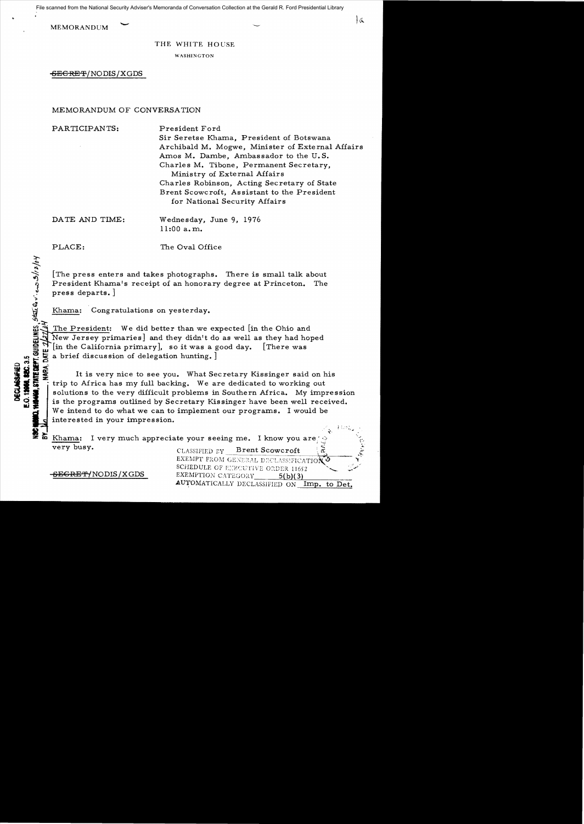File scanned from the National Security Adviser's Memoranda of Conversation Collection at the Gerald R. Ford Presidential Library

MEMORANDUM

THE WHITE HOUSE

WASHINGTON

SEGRET/NODIS/XGDS

# MEMORANDUM OF CONVERSATION

PARTICIPANTS: President Ford

Sir Seretse Khama, President of Botswana Archibald M. Mogwe, Minister of External Affairs Amos M. Dambe, Ambassador to the U. S. Charles M. Tibone, Permanent Secretary. Ministry of External Affairs Charles Robinson, Acting Secretary of State Brent Scowcroft, Assistant to the President for National Security Affairs

Ia

DATE AND TIME: Wednesday, June 9, 1976 11:00 a. m.

 $\mathbf{z}^-$ 

au

PLACE: The Oval Office

[The press enters and takes photographs. There is small talk about President Khama's receipt of an honorary degree at Princeton. The press departs.

Khama: Congratulations on yesterday.

 $\tilde{\vec{r}}_{\rm eff}$ . The President: We did better than we expected [in the Ohio and New Jersey primaries] and they didn't do as well as they had hoped  $[$ in the California primary], so it was a good day.  $[$ There was a brief discussion of delegation hunting. ]

o **'I!I<** It is very nice to see you. What Secretary Kissinger said on his trip to Africa has my full backing. We are dedicated to working out solutions to the very difficult problems in Southern Africa. My impression is the programs outlined by Secretary Kissinger have been well received. We intend to do what we can to implement our programs. I would be interested in your impression.

| 2                 | Khama: I very much appreciate your seeing me. I know you are $\Diamond$                                      |
|-------------------|--------------------------------------------------------------------------------------------------------------|
| very busy.        | <b>Brent Scowcroft</b><br>CLASSIFIED BY                                                                      |
| SEGRET/NODIS/XGDS | EXEMPT FROM GENERAL DECLASSIFICATION O<br>SCHEDULE OF EXECUTIVE ORDER 11652<br>EXEMPTION CATEGORY<br>5(b)(3) |
|                   | AUTOMATICALLY DECLASSIFIED ON<br>Det.                                                                        |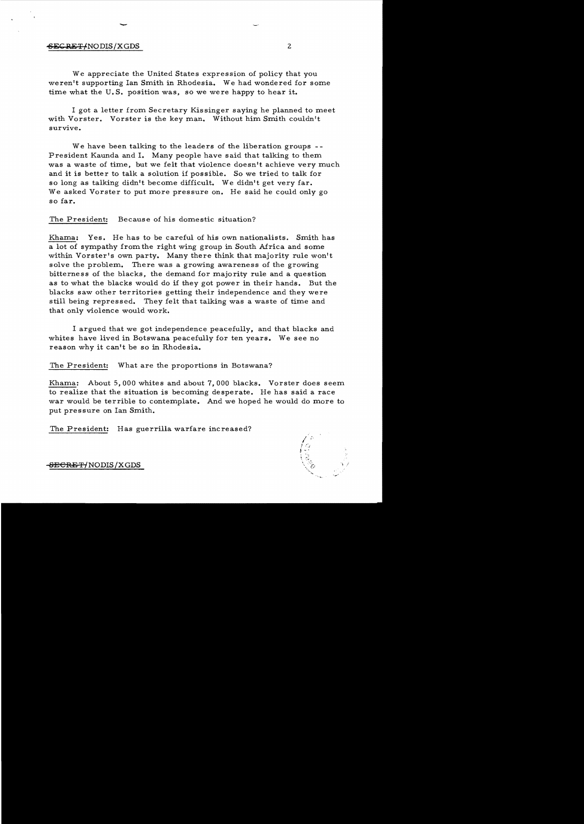### SECRET-NODIS/XGDS 2

-

We appreciate the United States expression of policy that you weren't supporting Ian Smith in Rhodesia. We had wondered for some time what the U.S. position was, so we were happy to hear it.

I got a letter from Secretary Kissinger saying he planned to meet with Vorster. Vorster is the key man. Without him Smith couldn't survive.

We have been talking to the leaders of the liberation groups --President Kaunda and 1. Many people have said that talking to them was a waste of time, but we felt that violence doesn't achieve very much and it is better to talk a solution if possible. So we tried to talk for so long as talking didn't become difficult. We didn't get very far. We asked Vorster to put more pressure on. He said he could only go so far.

The President: Because of his domestic situation?

Khama: Yes. He has to be careful of his own nationalists. Smith has a lot of sympathy from the right wing group in South Africa and some within Vorster's own party. Many there think that majority rule won't solve the problem. There was a growing awareness of the growing bitterness of the blacks, the demand for majority rule and a question as to what the blacks would do if they got power in their hands. But the blacks saw other territories getting their independence and they were still being repressed. They felt that talking was a waste of time and that only violence would work.

I argued that we got independence peacefully, and that blacks and whites have lived in Botswana peacefully for ten years. We see no reason why it can't be so in Rhodesia.

The President: What are the proportions in Botswana?

Khama: About 5,000 whites and about 7,000 blacks. Vorster does seem to realize that the situation is becoming desperate. He has said a race war would be terrible to contemplate. And we hoped he would do more to put pressure on Ian Smith.

The President: Has guerrilla warfare increased?



-<del>SECRET/</del>NODIS/XGDS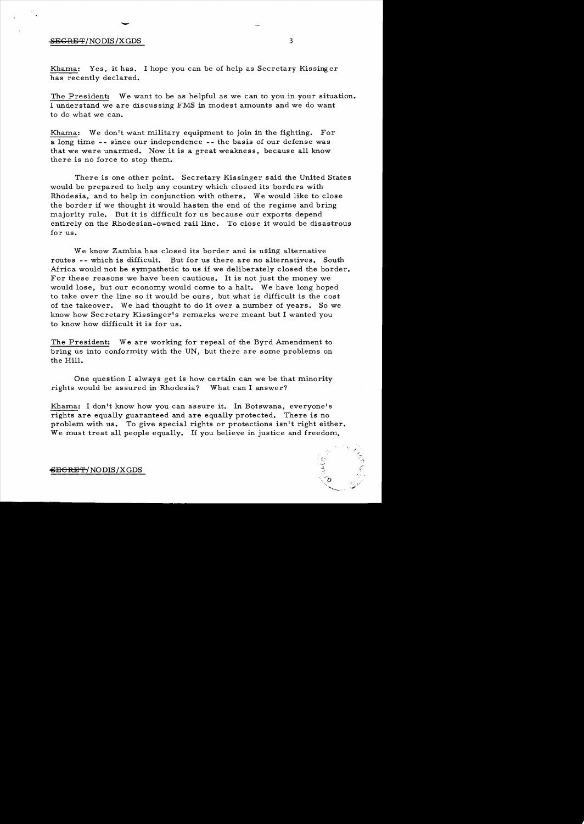# $\overline{\phantom{a}}$  $-$ SEGRET/NODIS/XGDS 3

Khama: Yes, it has. I hope you can be of help as Secretary Kissinger has recently declared.

The President: We want to be as helpful as we can to you in your situation. I understand we are discussing FMS in modest amounts and we do want to do what we can.

Khama: We don't want military equipment to join in the fighting. For a long time - - since our independence - - the basis of our defense was that we were unarmed. Now it is a great weakness, because all know there is no force to stop them.

There is one other point. Secretary Kissinger said the United States would be prepared to help any country which closed its borders with Rhodesia, and to help in conjunction with others. We would like to close the border if we thought it would hasten the end of the regime and bring majority rule. But it is difficult for us because our exports depend entirely on the Rhodesian-owned rail line. To close it would be disastrous for us.

We know Zambia has closed its border and is using alternative routes -- which is difficult. But for us there are no alternatives. South Africa would not be sympathetic to us if we deliberately closed the border. For these reasons we have been cautious. It is not just the money we would lose, but our economy would come to a halt. We have long hoped to take over the line so it would be ours, but what is difficult is the cost of the takeover. We had thought to do it over a number of years. So we know how Secretary Kissinger's remarks were meant but I wanted you to know how difficult it is for us.

The President: We are working for repeal of the Byrd Amendment to bring us into conformity with the UN, but there are some problems on the Hill.

One question I always get is how certain can we be that minority rights would be assured in Rhodesia? What can I answer?

Khama: I don't know how you can assure it. In Botswana, everyone's rights are equally guaranteed and are equally protected. There is no problem with us. To give special rights or protections isn't right either. We must treat all people equally. If you believe in justice and freedom,

> $\sim$  0, \. ..-.,,,,......

 $-$ <del>SECRET</del>/NODIS/XGDS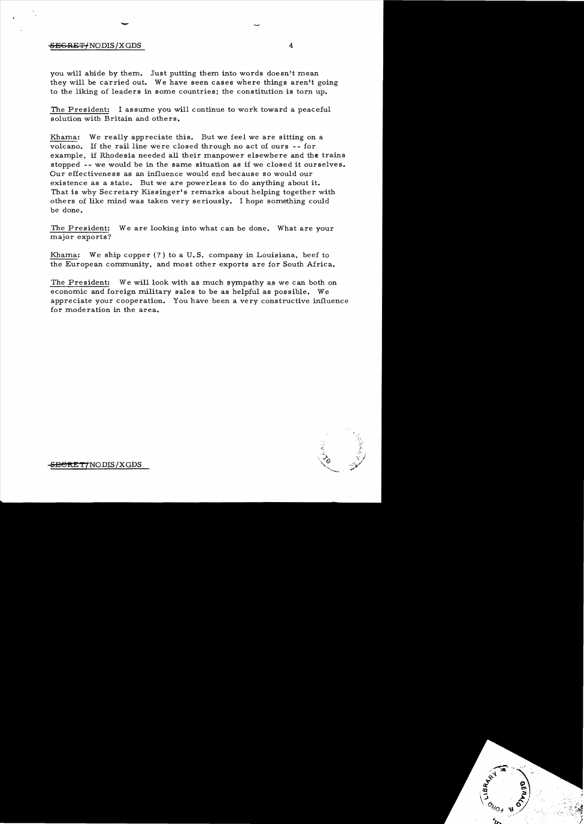## SEGRET/NODIS/X GDS 4

-

you will abide by them. Just putting them into words doesn't mean they will be carried out. We have seen cases where things aren't going to the liking of leaders in some countries; the constitution is torn up.

The President: I assume you will continue to work toward a peaceful solution with Britain and others.

Khama: We really appreciate this. But we feel we are sitting on a volcano. If the rail line were closed through no act of ours - - for example, if Rhodesia needed all their manpower elsewhere and the trains stopped -- we would be in the same situation as if we closed it ourselves. Our effectiveness as an influence would end because so would our existence as a state. But we are powerless to do anything about it. That is why Secretary Kissinger's remarks about helping together with others of like mind was taken very seriously. I hope something could be done.

The President: We are looking into what can be done. What are your major exports?

Khama: We ship copper  $(?)$  to a U.S. company in Louisiana, beef to the European community, and most other exports are for South Africa.

The President: We will look with as much sympathy as we can both on economic and foreign military sales to be as helpful as possible. We appreciate your cooperation. You have been a very constructive influence for moderation in the area.

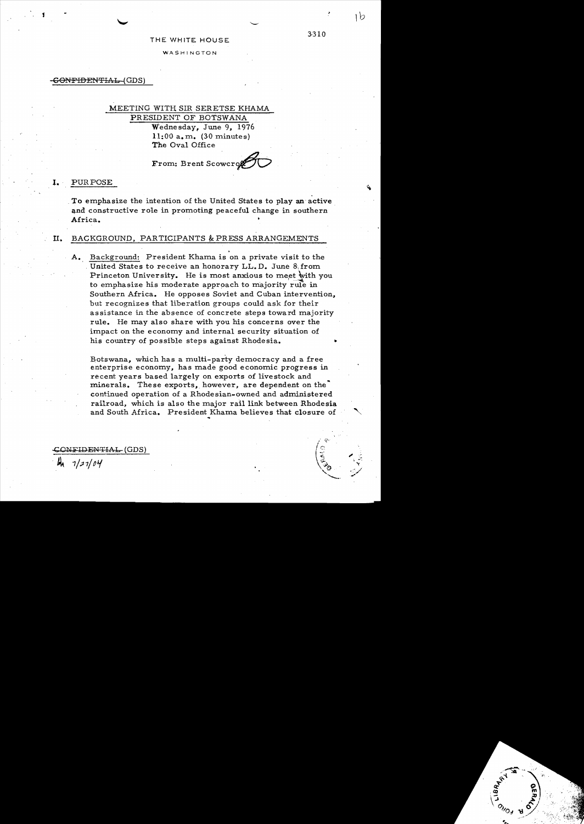#### THE WHITE HOUSE

3-310

**WASHINGTON** 

<del>SONFIDENTIAL (</del>GDS)

# MEETING WITH SIR SERETSE KHAMA PRESIDENT OF BOTSWANA 'Wednesday, June 9, 1976  $11:00$  a.m.  $(30 \text{ minutes})$ The Oval Office

From: Brent Scowcron

#### **I.** PURPOSE

To emphasize the intention of the United States to play an active and constructive role in promoting peaceful change in southern Africa.

# II. BACKGROUND, PARTICIPANTS & PRESS ARRANGEMENTS

Background: President Khama is on a private visit to the United States to receive an honorary LL. D. June 8 from. Princeton University. He is most anxious to meet with you to emphasize his moderate approach to majority rule in Southern Africa. He opposes Soviet and Cuban intervention, but recognizes that liberation groups could ask for their assistance in the absence of concrete steps toward majority rule. He may also share with you his concerns over the impact on the economy and internal security situation of his country of possible steps against Rhodesia.

Botswana, which has a multi-party democracy and a free enterprise economy, has made good economic progress in recent years based largely on exports of livestock and minerals. These exports, however, are dependent on the continued operation of a Rhodesian-owned and administered railroad, which is also the major rail link between Rhodesia and South Africa. President Khama believes that closure of

I<del>DENTIAL,</del> (GDS)

 $7/27/04$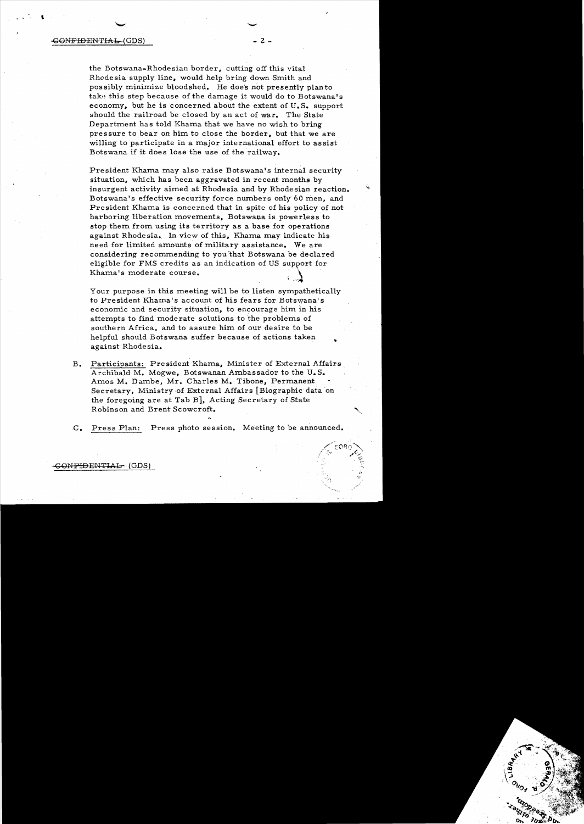#### $\texttt{GONFDENTHAB}$  (GDS)  $\qquad \qquad \texttt{2 -}$

I

the Botswana-Rhodesian border, cutting off this vital Rhodesia supply line, would help bring down Smith and possibly minimize bloodshed. He doe's not presently plan to take this step because of the damage it would do to Botswana's economy, but he is concerned about the extent of  $U_{\bullet}S_{\bullet}$  support should the railroad be closed by an act of war. The State Department has told Khama that we have no wish to bring pressure to bear on him to close the border, but that we are willing to participate in a major international effort to assist Botswana if it does lose the use of the railway.

President Khama may also raise Botswana's internal security situation, which has been aggravated in recent months by insurgent activity aimed at Rhodesia and by Rhodesian reaction. Botswana's effective security force numbers only 60 men, and President Khama is concerned that in spite of his policy of not harboring liberation movements. Botswana is powerless to stop them from using its territory as a base for operations against Rhodesia. In view of this, Khama may indicate his need for limited amounts of military assistance. We are considering recommending to you that Botswana be declared eligible for FMS credits as an indication of US support for considering recommending to you that Botswana be declare<br>eligible for FMS credits as an indication of US support for<br>Khama's moderate course.

Your purpose in this meeting will be to listen sympathetically to President Khama's account of his fears for Botswana's economic and security situation, to encourage him in his attempts to find moderate solutions to 'the problems of southern Africa, and to assure him of our desire to be helpful should Botswana suffer because of actions taken against Rhodesia.

- B. Participants: President Khama, Minister of External Affairs Archibald M. Mogwe, Botswanan Ambassador to the U.S. Amos M. Dambe, Mr. Charles M. Tibone. Permanent Secretary, Ministry of External Affairs [Biographic data 'on the foregoing are at Tab B], Acting Secretary of State Robinson and Brent Scowcroft.
- C. Press Plan: Press photo session. Meeting to be announced.

<del>CONFIDENTIAL (</del>GDS)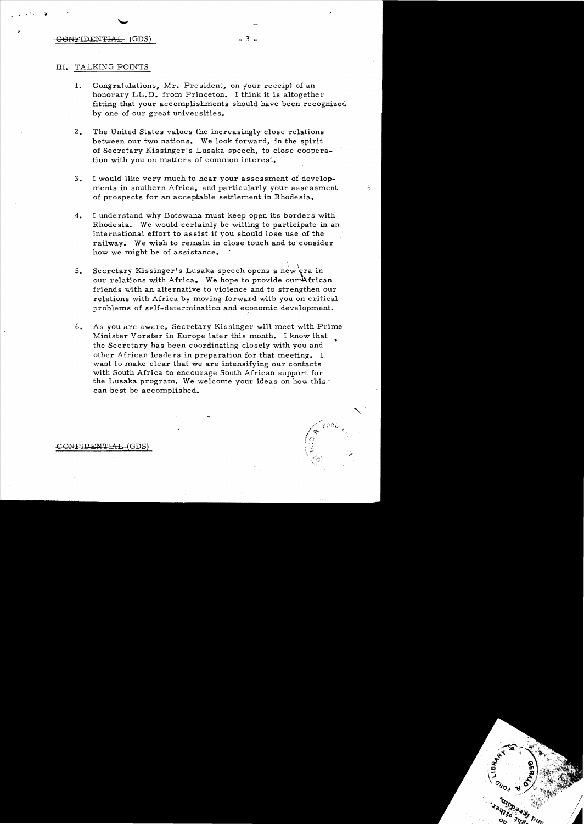#### GONFIDENTIAL (GDS) - 3

.',  $\hat{i}$ 

# III. TALKING POINTS

- 1. Congratulations, Mr. President, on your receipt of an honorary LL.D. from Princeton. I think it is altogether fitting that your accomplishments should have been recognized by one of our great universities.
- 2. The United States values the increasingly close relations between our two nations. We look forward, in the spirit of Secretary Kissinger's Lusaka speech, to close coopera tion with you on matters of common interest.
- 3. I would like very much to hear your assessment of developments in southern Africa, and particularly your assessment of prospects for an acceptable settlement in Rhodesia.
- 4. I understand why Botswana must keep open its borders with Rhodesia. We would certainly be willing to participate in an international effort to assist if you should lose use of the railway. We wish to remain in close touch and to consider how we might be of assistance.
- 5. Secretary Kissinger's Lusaka speech opens a new  $\overleftarrow{\mathtt{gra}}$  in our relations with Africa. We hope to provide dur-African friends with an alternative to violence and to strengthen our relations with Africa by moving forward with you on critical problems of self-determination and economic development.
- 6. As you are aware, Secretary Kissinger will meet with Prime Minister Vorster in Europe later this month. I know that the Secretary has been coordinating closely with you and other African leaders in preparation for that meeting. I want to make clear that we are intensifying our contacts with South Africa to encourage South African support for the Lusaka program. We welcome your ideas on how thiscan be st be accomplished.

**ONFIDENTIAL-(GDS)**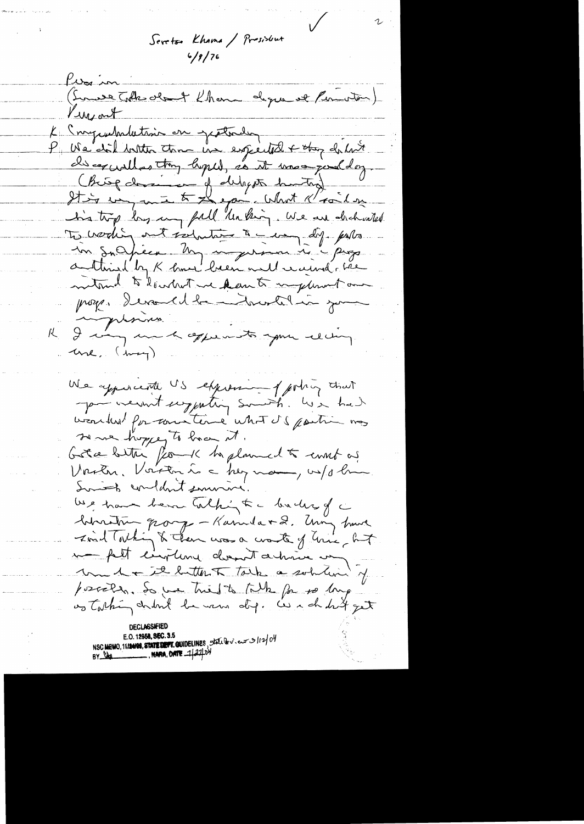Seretso Khama / President

Pierin (Sonate Tolk obent Khon degre et Permoton) Lungart L'Ingendation en gratades discorrelles thy hyped, so it mos judday. (Big desire of deligets harting) To working out is hating to may dif. puts in suchéen. My nogerant à progresse mitound to low but we kan to implement our proges devant la nortelain pour K I messing une, (may) We appearente US expression of porting that you went enjoyeding someth. We had wearbert for constant what it & partir mas se me hoppe to have it. Greenbetter forme to planned to emet as Vachen, Voirton à a her man, vilochen Somit condant survive. We have been talking to a backer of a binatur parge - Kanuda + 2. Um have Ford Tothing & Then was a worte of him, but me fait circulare donnaît artisie un under it butter talk a solution of possered. So we tried to talk for to long os talking church he were dif. We can drift get E.O. 12958, SEC. 3.5<br>NSC MEMO, 11124198, STATE DEVT. GUIDELINES, STAL Dev. europe 112/04<br>BY DAL MARA, DATE 1/27/04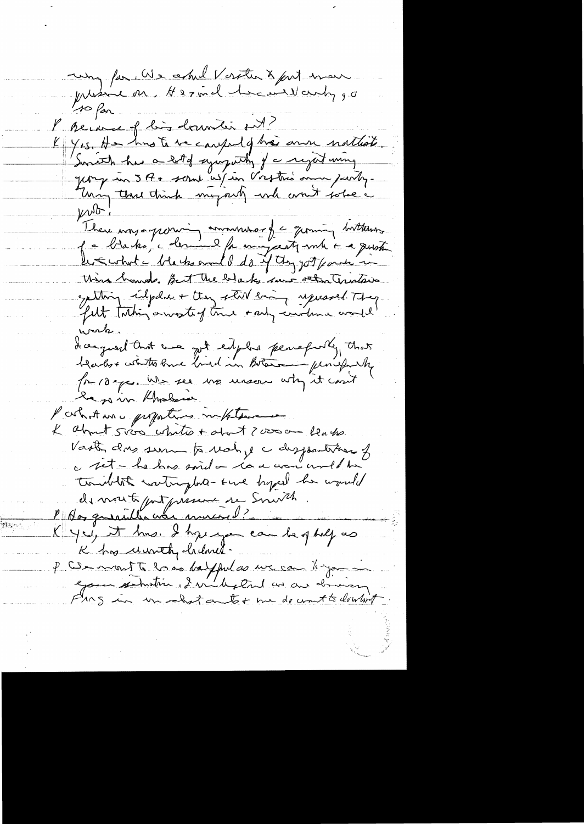uny for We could Verster & fort man preside on Hermel head why go 10 for. l'herance of ling dominant ent? K Yes, Ha hus te se cause y ha anne nathate. Swritch has a lot of sympathy of a regart wing Jeony un 5 A + seral us/in Vostris ann peuty. prior; There impagnonning amounter of a germing buttons f a blaks, colerand for magasty me a pusti be Ewhat he ble he and I do if they got fant in This homes, But the blacks seens other Trustees exting calpher + they star every upworld. They felt taking a wosterf true + and construe would werk. I can quarel tout was got eit plus percefully that for 10 ga. We see the mean why it can't he go in Kholen l'artistance proportions in place & about sico white + about ? verson leasher Vouste dus sum to realize a disposition of a set - he has said on la a avon und ha traibility contraphed-time hyped her would de mont parferment de Souvel. K yei, it has. I have you can be glulf as K has unthe heland. P CS mont to lo as helpful as we can know eyour sermation, I will stand and driving Frag in un chat autot me de unit to dentit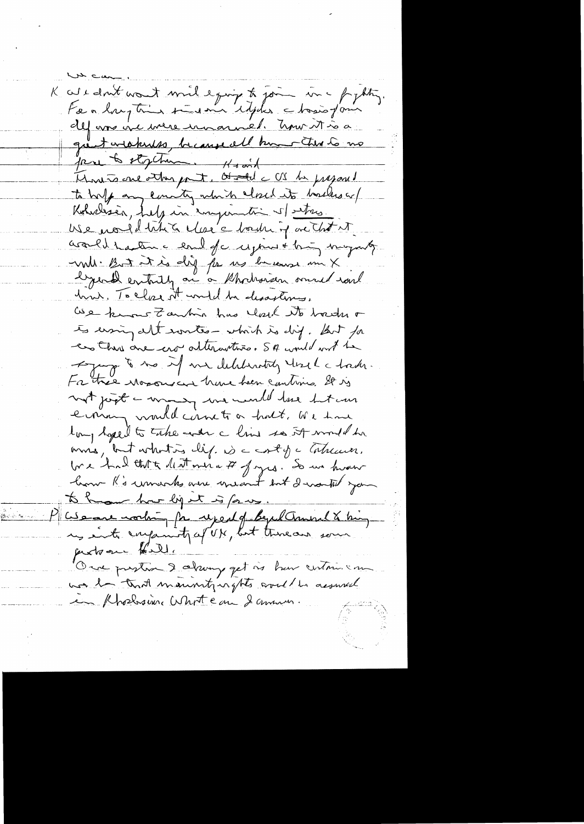K au count mont mil e prix to join in a fighting. For a largetion to do me ideals a tosis form def une vie mere innannel. Union t à a great weakness, because all humen this to no pare to stychum. Havid<br>Montre one other part, Otale CS be present to halp any country which closed its backers or Koholesia, July in important of stars USe nould tribe des chordrig actest acceled traction a level of component thing may not will. But it is dig for us because me X lyend entaily on a Charais mud roul hun. To close it would be desasting. We know Zantin has leach its backs of to ersing alt wortes - which is dij. But for en this one aro alterantivo. SA would not be Agency to the of me deliberately that I had For the woodwar have her continues & is not just a many we would love het un errain would came to a holt. We have long loged to take ever a line so it would be mus, but what is lif. is a cost of a laticum. tre had that death ones a # Jages. So us hvou how R's unach our meant but I worked you to have how light is forme Pluseau mortin for rejeal of BepelComment & bing justoan Halle One prestin I always get is har certains in was in that maninity ingthe world in assumed in Phoelesine Whote an 2 answer.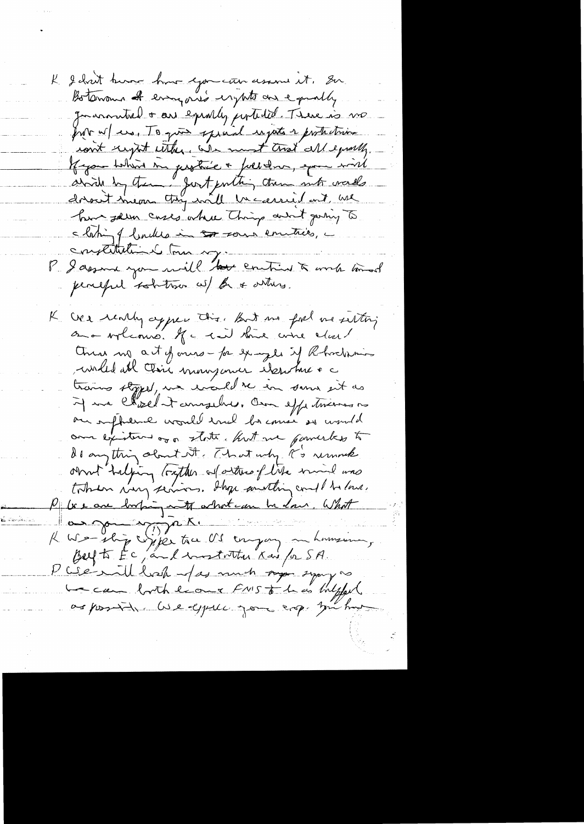K I don't know how you can assume it. So. Boterrous of everyone's erythets are equally. Journanted + are equally pertided. There is no proto w/ ero, To ques special injusts a protection ront crypt with the we must trist all equally Kyom taking in protiée + follow, que wird have sellen cases where Things and going to s loting of backles in the sound emitties, a emplitution tom my entire à ma mod perceful solutions w/ for a ontice. We really appear this. But me for me setting on a worldown. If a can think wire clear! Chung mg act of ones - for example if Rhockmin willed all their mongenier element a trains stopped, we would be in some sit as if we chosed it amazelves. Own effectiveness is our influence would ence become so would ome existent or on state. Kut me powerks to do anything about it. That why R's removale omt "taljing tratter af ortres of lite mind mas P les are bothing note what can be done. What K We ship wife to OS engage mansion, P We will had fas much page symp as Lecan both leave FNIST 1 as bulgfar as possible live eyell you eng, you had